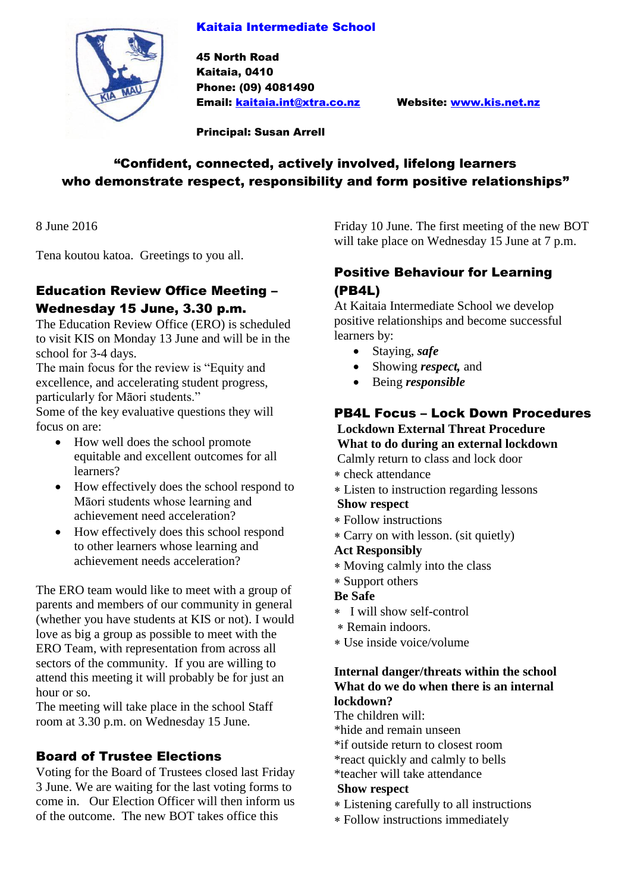### Kaitaia Intermediate School



45 North Road Kaitaia, 0410 Phone: (09) 4081490 Email: [kaitaia.int@xtra.co.nz](mailto:kaitaia.int@xtra.co.nz) Website: [www.kis.net.nz](http://www.kis.net.nz/)

Principal: Susan Arrell

# "Confident, connected, actively involved, lifelong learners who demonstrate respect, responsibility and form positive relationships"

8 June 2016

Tena koutou katoa. Greetings to you all.

# Education Review Office Meeting – Wednesday 15 June, 3.30 p.m.

The Education Review Office (ERO) is scheduled to visit KIS on Monday 13 June and will be in the school for 3-4 days.

The main focus for the review is "Equity and excellence, and accelerating student progress, particularly for Māori students."

Some of the key evaluative questions they will focus on are:

- How well does the school promote equitable and excellent outcomes for all learners?
- How effectively does the school respond to Māori students whose learning and achievement need acceleration?
- How effectively does this school respond to other learners whose learning and achievement needs acceleration?

The ERO team would like to meet with a group of parents and members of our community in general (whether you have students at KIS or not). I would love as big a group as possible to meet with the ERO Team, with representation from across all sectors of the community. If you are willing to attend this meeting it will probably be for just an hour or so.

The meeting will take place in the school Staff room at 3.30 p.m. on Wednesday 15 June.

### Board of Trustee Elections

Voting for the Board of Trustees closed last Friday 3 June. We are waiting for the last voting forms to come in. Our Election Officer will then inform us of the outcome. The new BOT takes office this

Friday 10 June. The first meeting of the new BOT will take place on Wednesday 15 June at 7 p.m.

## Positive Behaviour for Learning (PB4L)

At Kaitaia Intermediate School we develop positive relationships and become successful learners by:

- Staying, *safe*
- Showing *respect,* and
- Being *responsible*

### PB4L Focus – Lock Down Procedures

#### **Lockdown External Threat Procedure What to do during an external lockdown** Calmly return to class and lock door

- check attendance
- Listen to instruction regarding lessons

### **Show respect**

- Follow instructions
- Carry on with lesson. (sit quietly)

#### **Act Responsibly**

- Moving calmly into the class
- Support others
- **Be Safe**
- I will show self-control
- Remain indoors.
- Use inside voice/volume

#### **Internal danger/threats within the school What do we do when there is an internal lockdown?**

The children will:

\*hide and remain unseen

- \*if outside return to closest room
- \*react quickly and calmly to bells

\*teacher will take attendance

#### **Show respect**

- Listening carefully to all instructions
- Follow instructions immediately